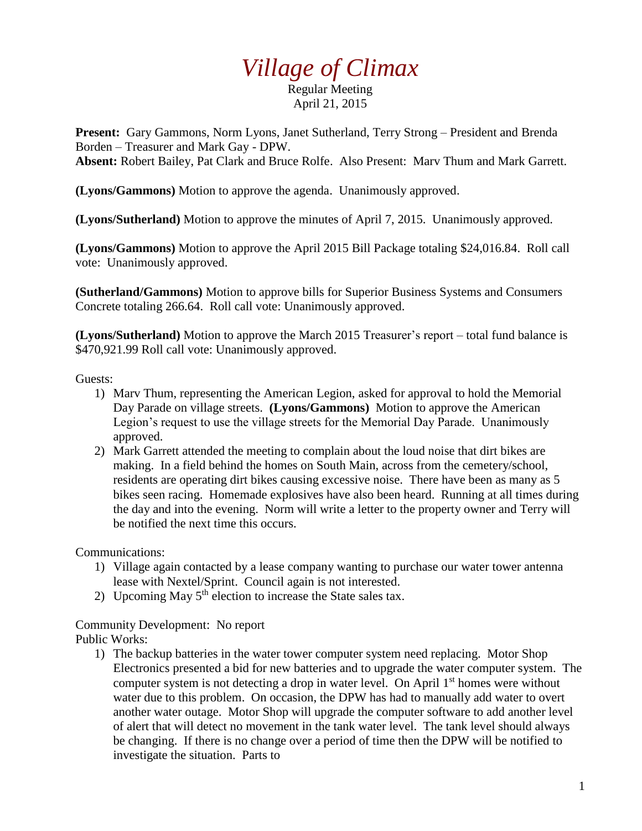## *Village of Climax*

Regular Meeting April 21, 2015

**Present:** Gary Gammons, Norm Lyons, Janet Sutherland, Terry Strong – President and Brenda Borden – Treasurer and Mark Gay - DPW. **Absent:** Robert Bailey, Pat Clark and Bruce Rolfe. Also Present: Marv Thum and Mark Garrett.

**(Lyons/Gammons)** Motion to approve the agenda. Unanimously approved.

**(Lyons/Sutherland)** Motion to approve the minutes of April 7, 2015. Unanimously approved.

**(Lyons/Gammons)** Motion to approve the April 2015 Bill Package totaling \$24,016.84. Roll call vote: Unanimously approved.

**(Sutherland/Gammons)** Motion to approve bills for Superior Business Systems and Consumers Concrete totaling 266.64. Roll call vote: Unanimously approved.

**(Lyons/Sutherland)** Motion to approve the March 2015 Treasurer's report – total fund balance is \$470,921.99 Roll call vote: Unanimously approved.

Guests:

- 1) Marv Thum, representing the American Legion, asked for approval to hold the Memorial Day Parade on village streets. **(Lyons/Gammons)** Motion to approve the American Legion's request to use the village streets for the Memorial Day Parade. Unanimously approved.
- 2) Mark Garrett attended the meeting to complain about the loud noise that dirt bikes are making. In a field behind the homes on South Main, across from the cemetery/school, residents are operating dirt bikes causing excessive noise. There have been as many as 5 bikes seen racing. Homemade explosives have also been heard. Running at all times during the day and into the evening. Norm will write a letter to the property owner and Terry will be notified the next time this occurs.

Communications:

- 1) Village again contacted by a lease company wanting to purchase our water tower antenna lease with Nextel/Sprint. Council again is not interested.
- 2) Upcoming May  $5<sup>th</sup>$  election to increase the State sales tax.

## Community Development: No report

Public Works:

1) The backup batteries in the water tower computer system need replacing. Motor Shop Electronics presented a bid for new batteries and to upgrade the water computer system. The computer system is not detecting a drop in water level. On April  $1<sup>st</sup>$  homes were without water due to this problem. On occasion, the DPW has had to manually add water to overt another water outage. Motor Shop will upgrade the computer software to add another level of alert that will detect no movement in the tank water level. The tank level should always be changing. If there is no change over a period of time then the DPW will be notified to investigate the situation. Parts to